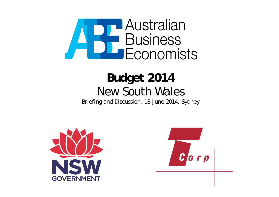

# *Budget 2014* New South Wales

Briefing and Discussion, 18 June 2014, Sydney



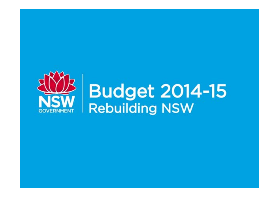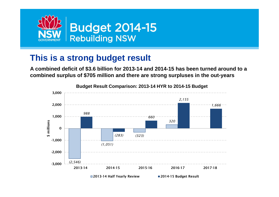

## **This is a strong budget result**

**A combined deficit of \$3.6 billion for 2013-14 and 2014-15 has been turned around to a combined surplus of \$705 million and there are strong surpluses in the out-years**



**Budget Result Comparison: 2013-14 HYR to 2014-15 Budget**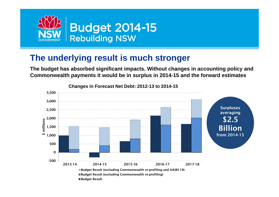

## **The underlying result is much stronger**

**The budget has absorbed significant impacts. Without changes in accounting policy and Commonwealth payments it would be in surplus in 2014-15 and the forward estimates**

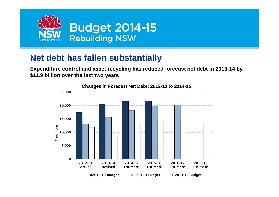

# **Net debt has fallen substantially**

**Expenditure control and asset recycling has reduced forecast net debt in 2013-14 by \$11.9 billion over the last two years**

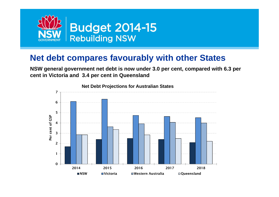

#### **Net debt compares favourably with other States**

**NSW general government net debt is now under 3.0 per cent, compared with 6.3 per cent in Victoria and 3.4 per cent in Queensland**



**Net Debt Projections for Australian States**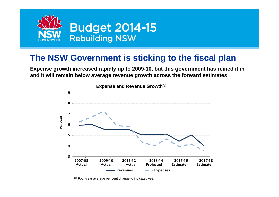

# **The NSW Government is sticking to the fiscal plan**

**Expense growth increased rapidly up to 2009-10, but this government has reined it in and it will remain below average revenue growth across the forward estimates**



**Expense and Revenue Growth(a)**

(a) Four-year average per cent change to indicated year.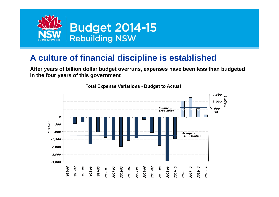

# **A culture of financial discipline is established**

**After years of billion dollar budget overruns, expenses have been less than budgeted in the four years of this government**



**Total Expense Variations - Budget to Actual**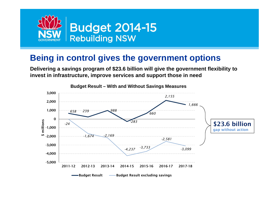

## **Being in control gives the government options**

**Delivering a savings program of \$23.6 billion will give the government flexibility to invest in infrastructure, improve services and support those in need**



**Budget Result – With and Without Savings Measures**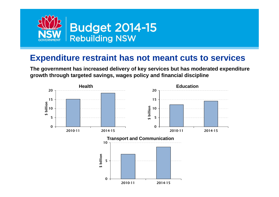

#### **Expenditure restraint has not meant cuts to services**

**The government has increased delivery of key services but has moderated expenditure growth through targeted savings, wages policy and financial discipline**

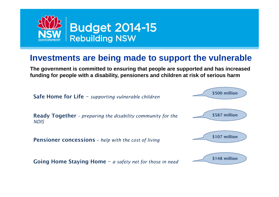

#### **Investments are being made to support the vulnerable**

**The government is committed to ensuring that people are supported and has increased funding for people with a disability, pensioners and children at risk of serious harm**

Safe Home for Life *– supporting vulnerable children*

Ready Together *– preparing the disability community for the NDIS*

Pensioner concessions – *help with the cost of living*

Going Home Staying Home *– a safety net for those in need*

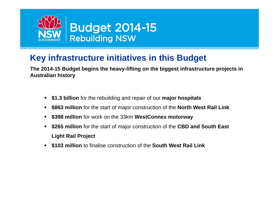

# **Key infrastructure initiatives in this Budget**

**The 2014-15 Budget begins the heavy-lifting on the biggest infrastructure projects in Australian history**

- Г **\$1.3 billion** for the rebuilding and repair of our **major hospitals**
- $\blacksquare$ **\$863 million** for the start of major construction of the **North West Rail Link**
- **\$398 million** for work on the 33km **WestConnex motorway**
- Г **\$265 million** for the start of major construction of the **CBD and South East Light Rail Project**
- **\$103 million** to finalise construction of the **South West Rail Link**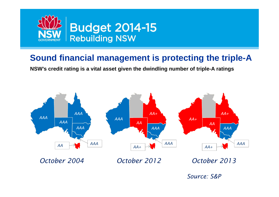

## **Sound financial management is protecting the triple-A**

**NSW's credit rating is a vital asset given the dwindling number of triple-A ratings**

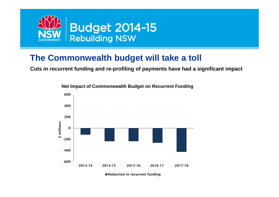

## **The Commonwealth budget will take a toll**

**Cuts in recurrent funding and re-profiling of payments have had a significant impact**



**Net Impact of Commonwealth Budget on Recurrent Funding**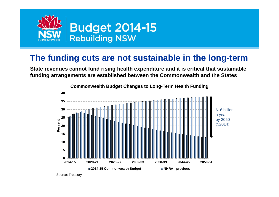

#### **The funding cuts are not sustainable in the long-term**

**State revenues cannot fund rising health expenditure and it is critical that sustainable funding arrangements are established between the Commonwealth and the States**



Source: Treasury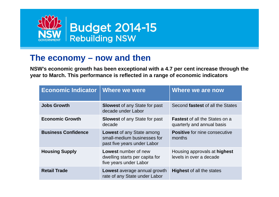

#### **The economy – now and then**

**NSW's economic growth has been exceptional with a 4.7 per cent increase through the year to March. This performance is reflected in a range of economic indicators**

| <b>Economic Indicator</b>  | Where we were                                                                                  | Where we are now                                                    |
|----------------------------|------------------------------------------------------------------------------------------------|---------------------------------------------------------------------|
| <b>Jobs Growth</b>         | <b>Slowest of any State for past</b><br>decade under Labor                                     | Second fastest of all the States                                    |
| <b>Economic Growth</b>     | <b>Slowest of any State for past</b><br>decade                                                 | <b>Fastest</b> of all the States on a<br>quarterly and annual basis |
| <b>Business Confidence</b> | <b>Lowest of any State among</b><br>small-medium businesses for<br>past five years under Labor | <b>Positive</b> for nine consecutive<br>months                      |
| <b>Housing Supply</b>      | <b>Lowest</b> number of new<br>dwelling starts per capita for<br>five years under Labor        | Housing approvals at highest<br>levels in over a decade             |
| <b>Retail Trade</b>        | Lowest average annual growth<br>rate of any State under Labor                                  | <b>Highest of all the states</b>                                    |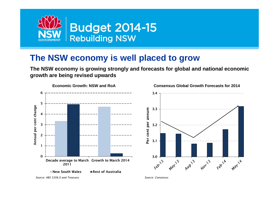

#### **The NSW economy is well placed to grow**

**The NSW economy is growing strongly and forecasts for global and national economic growth are being revised upwards**





*Source: Consensus*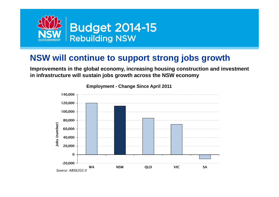

## **NSW will continue to support strong jobs growth**

**Improvements in the global economy, increasing housing construction and investment in infrastructure will sustain jobs growth across the NSW economy**



**Employment - Change Since April 2011**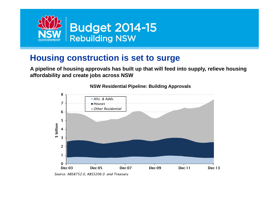

## **Housing construction is set to surge**

**A pipeline of housing approvals has built up that will feed into supply, relieve housing affordability and create jobs across NSW**



**NSW Residential Pipeline: Building Approvals**

*Source: ABS8752.0, ABS5206.0 and Treasury*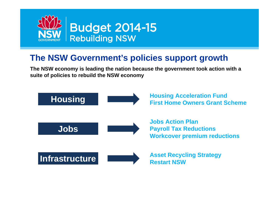

## **The NSW Government's policies support growth**

**The NSW economy is leading the nation because the government took action with a suite of policies to rebuild the NSW economy**

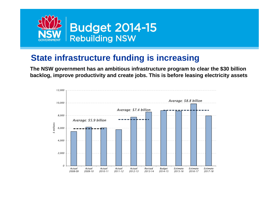

## **State infrastructure funding is increasing**

**The NSW government has an ambitious infrastructure program to clear the \$30 billion backlog, improve productivity and create jobs. This is before leasing electricity assets**

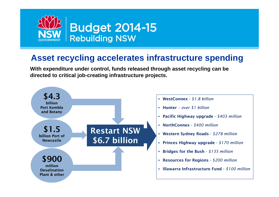

#### **Asset recycling accelerates infrastructure spending**

**With expenditure under control, funds released through asset recycling can be directed to critical job-creating infrastructure projects.**